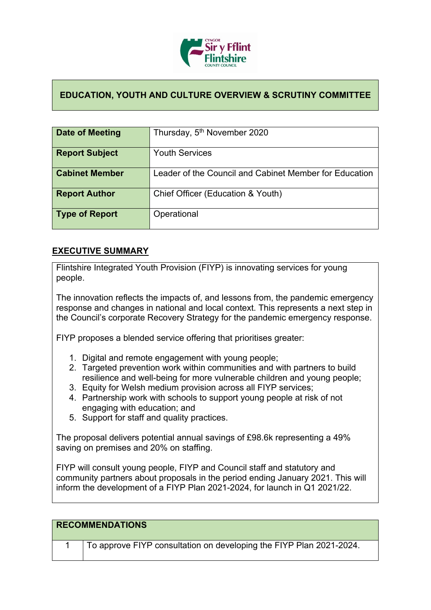

## **EDUCATION, YOUTH AND CULTURE OVERVIEW & SCRUTINY COMMITTEE**

| Date of Meeting       | Thursday, 5 <sup>th</sup> November 2020                |
|-----------------------|--------------------------------------------------------|
| <b>Report Subject</b> | <b>Youth Services</b>                                  |
| <b>Cabinet Member</b> | Leader of the Council and Cabinet Member for Education |
| <b>Report Author</b>  | Chief Officer (Education & Youth)                      |
| <b>Type of Report</b> | Operational                                            |

## **EXECUTIVE SUMMARY**

Flintshire Integrated Youth Provision (FIYP) is innovating services for young people.

The innovation reflects the impacts of, and lessons from, the pandemic emergency response and changes in national and local context. This represents a next step in the Council's corporate Recovery Strategy for the pandemic emergency response.

FIYP proposes a blended service offering that prioritises greater:

- 1. Digital and remote engagement with young people;
- 2. Targeted prevention work within communities and with partners to build resilience and well-being for more vulnerable children and young people;
- 3. Equity for Welsh medium provision across all FIYP services;
- 4. Partnership work with schools to support young people at risk of not engaging with education; and
- 5. Support for staff and quality practices.

The proposal delivers potential annual savings of £98.6k representing a 49% saving on premises and 20% on staffing.

FIYP will consult young people, FIYP and Council staff and statutory and community partners about proposals in the period ending January 2021. This will inform the development of a FIYP Plan 2021-2024, for launch in Q1 2021/22.

| <b>RECOMMENDATIONS</b>                                              |
|---------------------------------------------------------------------|
| To approve FIYP consultation on developing the FIYP Plan 2021-2024. |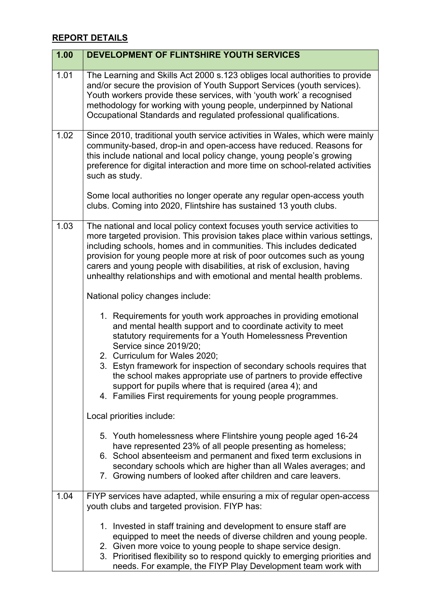## **REPORT DETAILS**

| 1.00 | DEVELOPMENT OF FLINTSHIRE YOUTH SERVICES                                                                                                                                                                                                                                                                                                                                                                                                                                                                                         |
|------|----------------------------------------------------------------------------------------------------------------------------------------------------------------------------------------------------------------------------------------------------------------------------------------------------------------------------------------------------------------------------------------------------------------------------------------------------------------------------------------------------------------------------------|
| 1.01 | The Learning and Skills Act 2000 s.123 obliges local authorities to provide<br>and/or secure the provision of Youth Support Services (youth services).<br>Youth workers provide these services, with 'youth work' a recognised<br>methodology for working with young people, underpinned by National<br>Occupational Standards and regulated professional qualifications.                                                                                                                                                        |
| 1.02 | Since 2010, traditional youth service activities in Wales, which were mainly<br>community-based, drop-in and open-access have reduced. Reasons for<br>this include national and local policy change, young people's growing<br>preference for digital interaction and more time on school-related activities<br>such as study.                                                                                                                                                                                                   |
|      | Some local authorities no longer operate any regular open-access youth<br>clubs. Coming into 2020, Flintshire has sustained 13 youth clubs.                                                                                                                                                                                                                                                                                                                                                                                      |
| 1.03 | The national and local policy context focuses youth service activities to<br>more targeted provision. This provision takes place within various settings,<br>including schools, homes and in communities. This includes dedicated<br>provision for young people more at risk of poor outcomes such as young<br>carers and young people with disabilities, at risk of exclusion, having<br>unhealthy relationships and with emotional and mental health problems.                                                                 |
|      | National policy changes include:                                                                                                                                                                                                                                                                                                                                                                                                                                                                                                 |
|      | 1. Requirements for youth work approaches in providing emotional<br>and mental health support and to coordinate activity to meet<br>statutory requirements for a Youth Homelessness Prevention<br>Service since 2019/20;<br>2. Curriculum for Wales 2020;<br>3. Estyn framework for inspection of secondary schools requires that<br>the school makes appropriate use of partners to provide effective<br>support for pupils where that is required (area 4); and<br>4. Families First requirements for young people programmes. |
|      | Local priorities include:                                                                                                                                                                                                                                                                                                                                                                                                                                                                                                        |
|      | 5. Youth homelessness where Flintshire young people aged 16-24<br>have represented 23% of all people presenting as homeless;                                                                                                                                                                                                                                                                                                                                                                                                     |
|      | 6. School absenteeism and permanent and fixed term exclusions in<br>secondary schools which are higher than all Wales averages; and<br>7. Growing numbers of looked after children and care leavers.                                                                                                                                                                                                                                                                                                                             |
| 1.04 | FIYP services have adapted, while ensuring a mix of regular open-access<br>youth clubs and targeted provision. FIYP has:                                                                                                                                                                                                                                                                                                                                                                                                         |
|      | 1. Invested in staff training and development to ensure staff are<br>equipped to meet the needs of diverse children and young people.<br>2. Given more voice to young people to shape service design.<br>3. Prioritised flexibility so to respond quickly to emerging priorities and<br>needs. For example, the FIYP Play Development team work with                                                                                                                                                                             |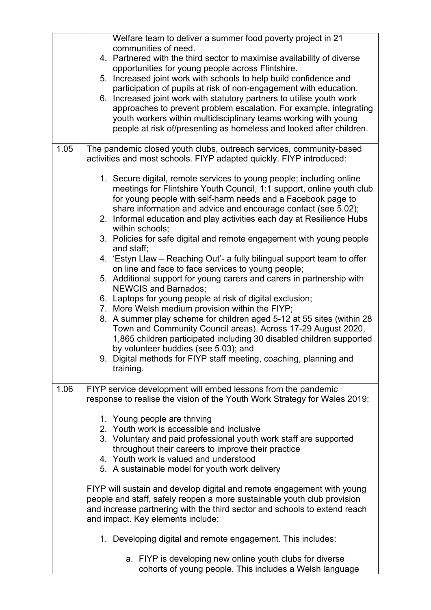|      | Welfare team to deliver a summer food poverty project in 21                                                                                |
|------|--------------------------------------------------------------------------------------------------------------------------------------------|
|      | communities of need.                                                                                                                       |
|      | 4. Partnered with the third sector to maximise availability of diverse                                                                     |
|      | opportunities for young people across Flintshire.<br>5. Increased joint work with schools to help build confidence and                     |
|      | participation of pupils at risk of non-engagement with education.                                                                          |
|      | 6. Increased joint work with statutory partners to utilise youth work                                                                      |
|      | approaches to prevent problem escalation. For example, integrating                                                                         |
|      | youth workers within multidisciplinary teams working with young                                                                            |
|      | people at risk of/presenting as homeless and looked after children.                                                                        |
|      |                                                                                                                                            |
| 1.05 | The pandemic closed youth clubs, outreach services, community-based<br>activities and most schools. FIYP adapted quickly. FIYP introduced: |
|      |                                                                                                                                            |
|      | 1. Secure digital, remote services to young people; including online                                                                       |
|      | meetings for Flintshire Youth Council, 1:1 support, online youth club                                                                      |
|      | for young people with self-harm needs and a Facebook page to                                                                               |
|      | share information and advice and encourage contact (see 5.02);                                                                             |
|      | 2. Informal education and play activities each day at Resilience Hubs<br>within schools;                                                   |
|      | 3. Policies for safe digital and remote engagement with young people                                                                       |
|      | and staff;                                                                                                                                 |
|      | 4. 'Estyn Llaw – Reaching Out'- a fully bilingual support team to offer<br>on line and face to face services to young people;              |
|      | 5. Additional support for young carers and carers in partnership with                                                                      |
|      | <b>NEWCIS and Barnados:</b>                                                                                                                |
|      | 6. Laptops for young people at risk of digital exclusion;                                                                                  |
|      | 7. More Welsh medium provision within the FIYP;                                                                                            |
|      | 8. A summer play scheme for children aged 5-12 at 55 sites (within 28                                                                      |
|      | Town and Community Council areas). Across 17-29 August 2020,                                                                               |
|      | 1,865 children participated including 30 disabled children supported                                                                       |
|      | by volunteer buddies (see 5.03); and                                                                                                       |
|      | 9. Digital methods for FIYP staff meeting, coaching, planning and                                                                          |
|      | training.                                                                                                                                  |
| 1.06 | FIYP service development will embed lessons from the pandemic                                                                              |
|      | response to realise the vision of the Youth Work Strategy for Wales 2019:                                                                  |
|      |                                                                                                                                            |
|      | 1. Young people are thriving                                                                                                               |
|      | 2. Youth work is accessible and inclusive                                                                                                  |
|      | 3. Voluntary and paid professional youth work staff are supported                                                                          |
|      | throughout their careers to improve their practice                                                                                         |
|      | 4. Youth work is valued and understood                                                                                                     |
|      | 5. A sustainable model for youth work delivery                                                                                             |
|      | FIYP will sustain and develop digital and remote engagement with young                                                                     |
|      | people and staff, safely reopen a more sustainable youth club provision                                                                    |
|      | and increase partnering with the third sector and schools to extend reach                                                                  |
|      | and impact. Key elements include:                                                                                                          |
|      |                                                                                                                                            |
|      | 1. Developing digital and remote engagement. This includes:                                                                                |
|      | a. FIYP is developing new online youth clubs for diverse                                                                                   |
|      | cohorts of young people. This includes a Welsh language                                                                                    |
|      |                                                                                                                                            |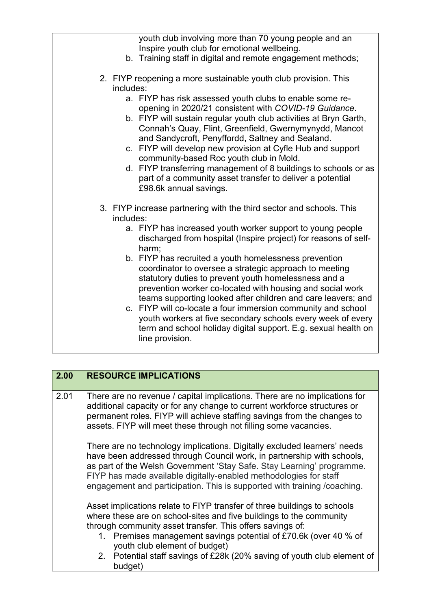|  | youth club involving more than 70 young people and an<br>Inspire youth club for emotional wellbeing.                                                                                                                                                                                                 |
|--|------------------------------------------------------------------------------------------------------------------------------------------------------------------------------------------------------------------------------------------------------------------------------------------------------|
|  | b. Training staff in digital and remote engagement methods;                                                                                                                                                                                                                                          |
|  | 2. FIYP reopening a more sustainable youth club provision. This<br>includes:                                                                                                                                                                                                                         |
|  | a. FIYP has risk assessed youth clubs to enable some re-<br>opening in 2020/21 consistent with COVID-19 Guidance.                                                                                                                                                                                    |
|  | b. FIYP will sustain regular youth club activities at Bryn Garth,<br>Connah's Quay, Flint, Greenfield, Gwernymynydd, Mancot<br>and Sandycroft, Penyffordd, Saltney and Sealand.                                                                                                                      |
|  | c. FIYP will develop new provision at Cyfle Hub and support<br>community-based Roc youth club in Mold.                                                                                                                                                                                               |
|  | d. FIYP transferring management of 8 buildings to schools or as<br>part of a community asset transfer to deliver a potential<br>£98.6k annual savings.                                                                                                                                               |
|  | 3. FIYP increase partnering with the third sector and schools. This<br>includes:                                                                                                                                                                                                                     |
|  | a. FIYP has increased youth worker support to young people<br>discharged from hospital (Inspire project) for reasons of self-<br>harm;                                                                                                                                                               |
|  | b. FIYP has recruited a youth homelessness prevention<br>coordinator to oversee a strategic approach to meeting<br>statutory duties to prevent youth homelessness and a<br>prevention worker co-located with housing and social work<br>teams supporting looked after children and care leavers; and |
|  | c. FIYP will co-locate a four immersion community and school<br>youth workers at five secondary schools every week of every<br>term and school holiday digital support. E.g. sexual health on<br>line provision.                                                                                     |

| 2.00 | <b>RESOURCE IMPLICATIONS</b>                                                                                                                                                                                                                                                                                                                                                  |
|------|-------------------------------------------------------------------------------------------------------------------------------------------------------------------------------------------------------------------------------------------------------------------------------------------------------------------------------------------------------------------------------|
| 2.01 | There are no revenue / capital implications. There are no implications for<br>additional capacity or for any change to current workforce structures or<br>permanent roles. FIYP will achieve staffing savings from the changes to<br>assets. FIYP will meet these through not filling some vacancies.                                                                         |
|      | There are no technology implications. Digitally excluded learners' needs<br>have been addressed through Council work, in partnership with schools,<br>as part of the Welsh Government 'Stay Safe. Stay Learning' programme.<br>FIYP has made available digitally-enabled methodologies for staff<br>engagement and participation. This is supported with training / coaching. |
|      | Asset implications relate to FIYP transfer of three buildings to schools<br>where these are on school-sites and five buildings to the community<br>through community asset transfer. This offers savings of:<br>1. Premises management savings potential of £70.6k (over 40 % of<br>youth club element of budget)                                                             |
|      | 2. Potential staff savings of £28k (20% saving of youth club element of<br>budget)                                                                                                                                                                                                                                                                                            |

 $\lfloor$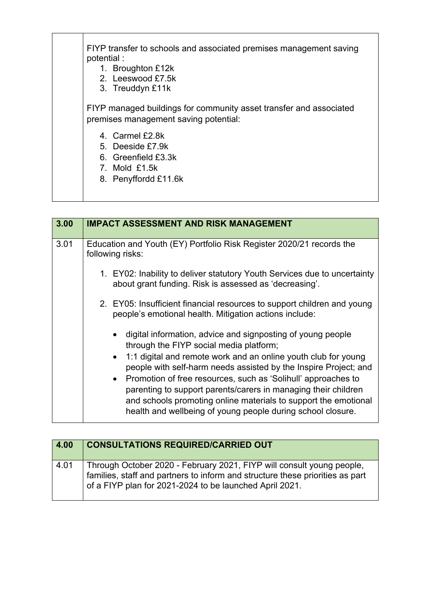| FIYP transfer to schools and associated premises management saving<br>potential :<br>1. Broughton £12k<br>2. Leeswood £7.5k<br>3. Treuddyn £11k |
|-------------------------------------------------------------------------------------------------------------------------------------------------|
| FIYP managed buildings for community asset transfer and associated<br>premises management saving potential:                                     |
| 4. Carmel £2.8k<br>5 Deeside £7.9k<br>6. Greenfield £3.3k<br>7. Mold £1.5k<br>8. Penyffordd £11.6k                                              |

| 3.00 | <b>IMPACT ASSESSMENT AND RISK MANAGEMENT</b>                                                                                                                                                                       |
|------|--------------------------------------------------------------------------------------------------------------------------------------------------------------------------------------------------------------------|
| 3.01 | Education and Youth (EY) Portfolio Risk Register 2020/21 records the<br>following risks:                                                                                                                           |
|      | 1. EY02: Inability to deliver statutory Youth Services due to uncertainty<br>about grant funding. Risk is assessed as 'decreasing'.                                                                                |
|      | 2. EY05: Insufficient financial resources to support children and young<br>people's emotional health. Mitigation actions include:                                                                                  |
|      | digital information, advice and signposting of young people<br>$\bullet$<br>through the FIYP social media platform;                                                                                                |
|      | 1:1 digital and remote work and an online youth club for young<br>$\bullet$<br>people with self-harm needs assisted by the Inspire Project; and<br>• Promotion of free resources, such as 'Solihull' approaches to |
|      | parenting to support parents/carers in managing their children<br>and schools promoting online materials to support the emotional<br>health and wellbeing of young people during school closure.                   |

| 4.00 | <b>CONSULTATIONS REQUIRED/CARRIED OUT</b>                                                                                                                                                                         |
|------|-------------------------------------------------------------------------------------------------------------------------------------------------------------------------------------------------------------------|
| 4.01 | Through October 2020 - February 2021, FIYP will consult young people,<br>families, staff and partners to inform and structure these priorities as part<br>of a FIYP plan for 2021-2024 to be launched April 2021. |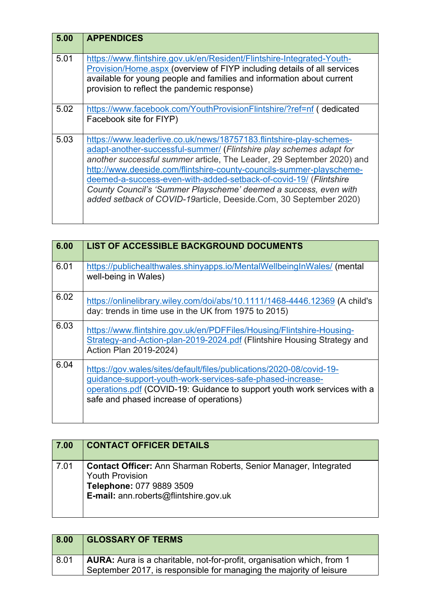| 5.00 | <b>APPENDICES</b>                                                                                                                                                                                                                                                                                                                                                                                                                                                                                         |
|------|-----------------------------------------------------------------------------------------------------------------------------------------------------------------------------------------------------------------------------------------------------------------------------------------------------------------------------------------------------------------------------------------------------------------------------------------------------------------------------------------------------------|
| 5.01 | https://www.flintshire.gov.uk/en/Resident/Flintshire-Integrated-Youth-<br>Provision/Home.aspx (overview of FIYP including details of all services<br>available for young people and families and information about current<br>provision to reflect the pandemic response)                                                                                                                                                                                                                                 |
| 5.02 | https://www.facebook.com/YouthProvisionFlintshire/?ref=nf ( dedicated<br>Facebook site for FIYP)                                                                                                                                                                                                                                                                                                                                                                                                          |
| 5.03 | https://www.leaderlive.co.uk/news/18757183.flintshire-play-schemes-<br>adapt-another-successful-summer/ (Flintshire play schemes adapt for<br>another successful summer article, The Leader, 29 September 2020) and<br>http://www.deeside.com/flintshire-county-councils-summer-playscheme-<br>deemed-a-success-even-with-added-setback-of-covid-19/ (Flintshire<br>County Council's 'Summer Playscheme' deemed a success, even with<br>added setback of COVID-19article, Deeside.Com, 30 September 2020) |

| 6.00 | <b>LIST OF ACCESSIBLE BACKGROUND DOCUMENTS</b>                                                                                                                                                                                                            |
|------|-----------------------------------------------------------------------------------------------------------------------------------------------------------------------------------------------------------------------------------------------------------|
| 6.01 | https://publichealthwales.shinyapps.io/MentalWellbeingInWales/ (mental<br>well-being in Wales)                                                                                                                                                            |
| 6.02 | https://onlinelibrary.wiley.com/doi/abs/10.1111/1468-4446.12369 (A child's<br>day: trends in time use in the UK from 1975 to 2015)                                                                                                                        |
| 6.03 | https://www.flintshire.gov.uk/en/PDFFiles/Housing/Flintshire-Housing-<br>Strategy-and-Action-plan-2019-2024.pdf (Flintshire Housing Strategy and<br>Action Plan 2019-2024)                                                                                |
| 6.04 | https://gov.wales/sites/default/files/publications/2020-08/covid-19-<br>guidance-support-youth-work-services-safe-phased-increase-<br>operations.pdf (COVID-19: Guidance to support youth work services with a<br>safe and phased increase of operations) |

| 7.00 | <b>CONTACT OFFICER DETAILS</b>                                                                                                                                         |
|------|------------------------------------------------------------------------------------------------------------------------------------------------------------------------|
| 7.01 | <b>Contact Officer:</b> Ann Sharman Roberts, Senior Manager, Integrated<br><b>Youth Provision</b><br>Telephone: 077 9889 3509<br>E-mail: ann.roberts@flintshire.gov.uk |

| 8.00 | <b>GLOSSARY OF TERMS</b>                                                                                                                             |
|------|------------------------------------------------------------------------------------------------------------------------------------------------------|
| 8.01 | <b>AURA:</b> Aura is a charitable, not-for-profit, organisation which, from 1<br>September 2017, is responsible for managing the majority of leisure |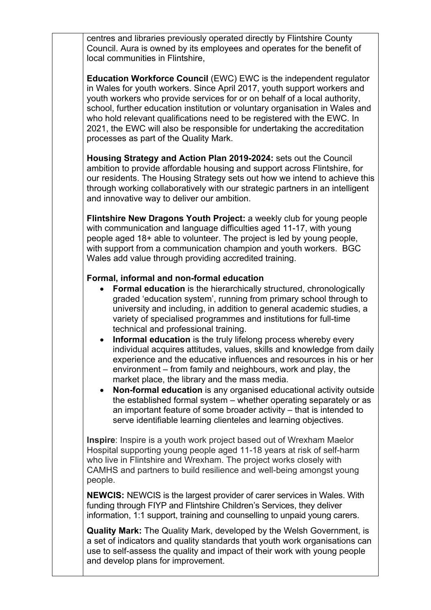centres and libraries previously operated directly by Flintshire County Council. Aura is owned by its employees and operates for the benefit of local communities in Flintshire,

**Education Workforce Council** (EWC) EWC is the independent regulator in Wales for youth workers. Since April 2017, youth support workers and youth workers who provide services for or on behalf of a local authority, school, further education institution or voluntary organisation in Wales and who hold relevant qualifications need to be registered with the EWC. In 2021, the EWC will also be responsible for undertaking the accreditation processes as part of the Quality Mark.

**Housing Strategy and Action Plan 2019-2024:** sets out the Council ambition to provide affordable housing and support across Flintshire, for our residents. The Housing Strategy sets out how we intend to achieve this through working collaboratively with our strategic partners in an intelligent and innovative way to deliver our ambition.

**Flintshire New Dragons Youth Project:** a weekly club for young people with communication and language difficulties aged 11-17, with young people aged 18+ able to volunteer. The project is led by young people, with support from a communication champion and youth workers. BGC Wales add value through providing accredited training.

## **Formal, informal and non-formal education**

- **Formal education** is the hierarchically structured, chronologically graded 'education system', running from primary school through to university and including, in addition to general academic studies, a variety of specialised programmes and institutions for full-time technical and professional training.
- **Informal education** is the truly lifelong process whereby every individual acquires attitudes, values, skills and knowledge from daily experience and the educative influences and resources in his or her environment – from family and neighbours, work and play, the market place, the library and the mass media.
- **Non-formal education** is any organised educational activity outside the established formal system – whether operating separately or as an important feature of some broader activity – that is intended to serve identifiable learning clienteles and learning objectives.

**Inspire**: Inspire is a youth work project based out of Wrexham Maelor Hospital supporting young people aged 11-18 years at risk of self-harm who live in Flintshire and Wrexham. The project works closely with CAMHS and partners to build resilience and well-being amongst young people.

**NEWCIS:** NEWCIS is the largest provider of carer services in Wales. With funding through FIYP and Flintshire Children's Services, they deliver information, 1:1 support, training and counselling to unpaid young carers.

**Quality Mark:** The Quality Mark, developed by the Welsh Government, is a set of indicators and quality standards that youth work organisations can use to self-assess the quality and impact of their work with young people and develop plans for improvement.